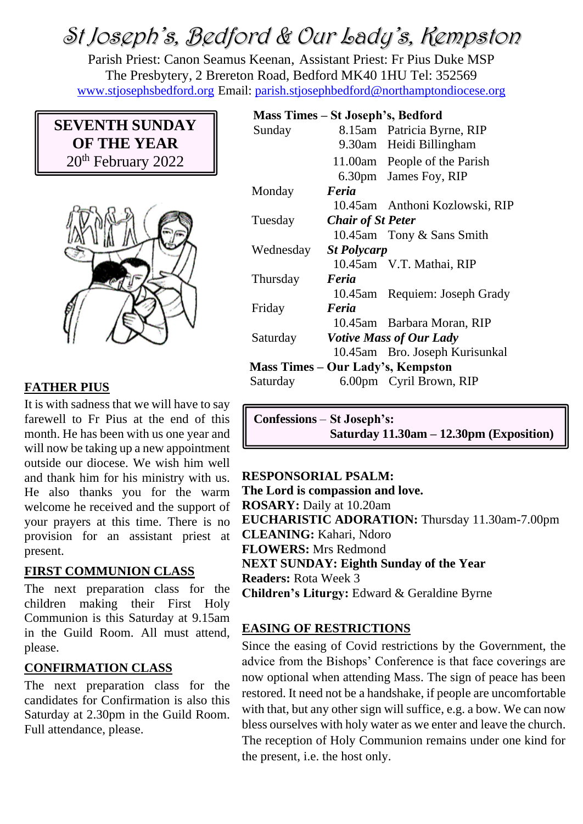# St Joseph's, Bedford & Our Lady's, Kempston

Parish Priest: Canon Seamus Keenan, Assistant Priest: Fr Pius Duke MSP The Presbytery, 2 Brereton Road, Bedford MK40 1HU Tel: 352569 [www.stjosephsbedford.org](http://www.stjosephsbedford.org/) Email: [parish.stjosephbedford@northamptondiocese.org](mailto:parish.stjosephbedford@northamptondiocese.org)

# **SEVENTH SUNDAY OF THE YEAR** 20<sup>th</sup> February 2022



# **FATHER PIUS**

It is with sadness that we will have to say farewell to Fr Pius at the end of this month. He has been with us one year and will now be taking up a new appointment outside our diocese. We wish him well and thank him for his ministry with us. He also thanks you for the warm welcome he received and the support of your prayers at this time. There is no provision for an assistant priest at present.

# **FIRST COMMUNION CLASS**

The next preparation class for the children making their First Holy Communion is this Saturday at 9.15am in the Guild Room. All must attend, please.

# **CONFIRMATION CLASS**

The next preparation class for the candidates for Confirmation is also this Saturday at 2.30pm in the Guild Room. Full attendance, please.

# **Mass Times – St Joseph's, Bedford**

| Sunday                                   |                                | 8.15am Patricia Byrne, RIP     |
|------------------------------------------|--------------------------------|--------------------------------|
|                                          |                                | 9.30am Heidi Billingham        |
|                                          |                                | 11.00am People of the Parish   |
|                                          |                                | 6.30pm James Foy, RIP          |
| Monday                                   | Feria                          |                                |
|                                          |                                | 10.45am Anthoni Kozlowski, RIP |
| Tuesday                                  | <b>Chair of St Peter</b>       |                                |
|                                          |                                | 10.45am Tony & Sans Smith      |
| Wednesday                                | <b>St Polycarp</b>             |                                |
|                                          |                                | 10.45am V.T. Mathai, RIP       |
| Thursday                                 | Feria                          |                                |
|                                          |                                | 10.45am Requiem: Joseph Grady  |
| Friday                                   | Feria                          |                                |
|                                          |                                | 10.45am Barbara Moran, RIP     |
| Saturday                                 | <b>Votive Mass of Our Lady</b> |                                |
|                                          |                                | 10.45am Bro. Joseph Kurisunkal |
| <b>Mass Times – Our Lady's, Kempston</b> |                                |                                |
| Saturday                                 |                                | 6.00pm Cyril Brown, RIP        |
|                                          |                                |                                |

**Confessions** – **St Joseph's: Saturday 11.30am – 12.30pm (Exposition)**

# **RESPONSORIAL PSALM:**

**The Lord is compassion and love. ROSARY:** Daily at 10.20am **EUCHARISTIC ADORATION:** Thursday 11.30am-7.00pm **CLEANING:** Kahari, Ndoro **FLOWERS:** Mrs Redmond **NEXT SUNDAY: Eighth Sunday of the Year Readers:** Rota Week 3 **Children's Liturgy:** Edward & Geraldine Byrne

# **EASING OF RESTRICTIONS**

Since the easing of Covid restrictions by the Government, the advice from the Bishops' Conference is that face coverings are now optional when attending Mass. The sign of peace has been restored. It need not be a handshake, if people are uncomfortable with that, but any other sign will suffice, e.g. a bow. We can now bless ourselves with holy water as we enter and leave the church. The reception of Holy Communion remains under one kind for the present, i.e. the host only.